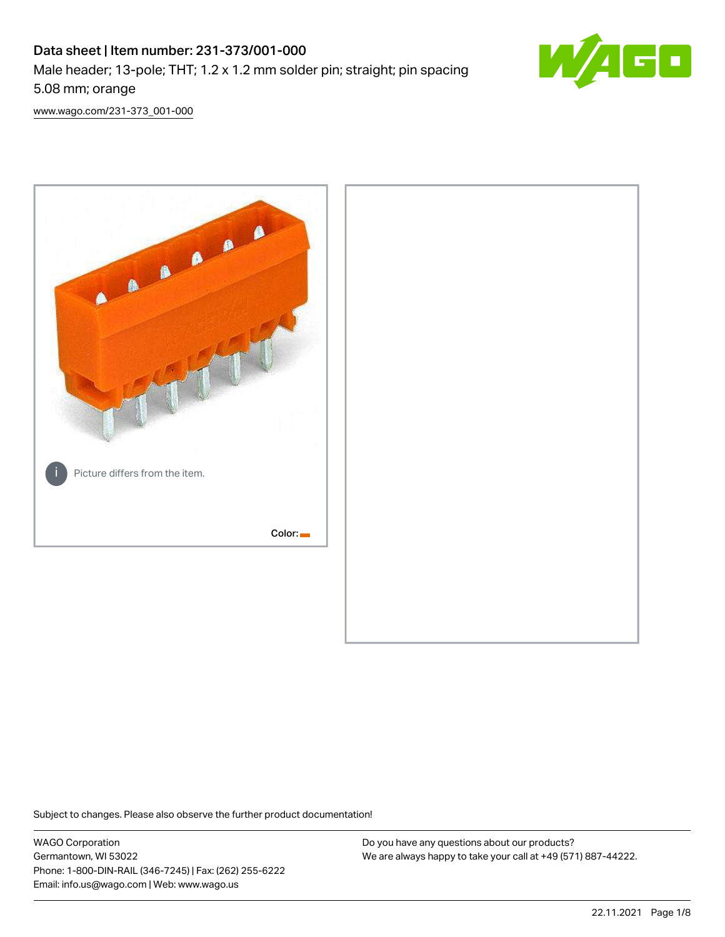# Data sheet | Item number: 231-373/001-000 Male header; 13-pole; THT; 1.2 x 1.2 mm solder pin; straight; pin spacing 5.08 mm; orange



[www.wago.com/231-373\\_001-000](http://www.wago.com/231-373_001-000)



Subject to changes. Please also observe the further product documentation!

WAGO Corporation Germantown, WI 53022 Phone: 1-800-DIN-RAIL (346-7245) | Fax: (262) 255-6222 Email: info.us@wago.com | Web: www.wago.us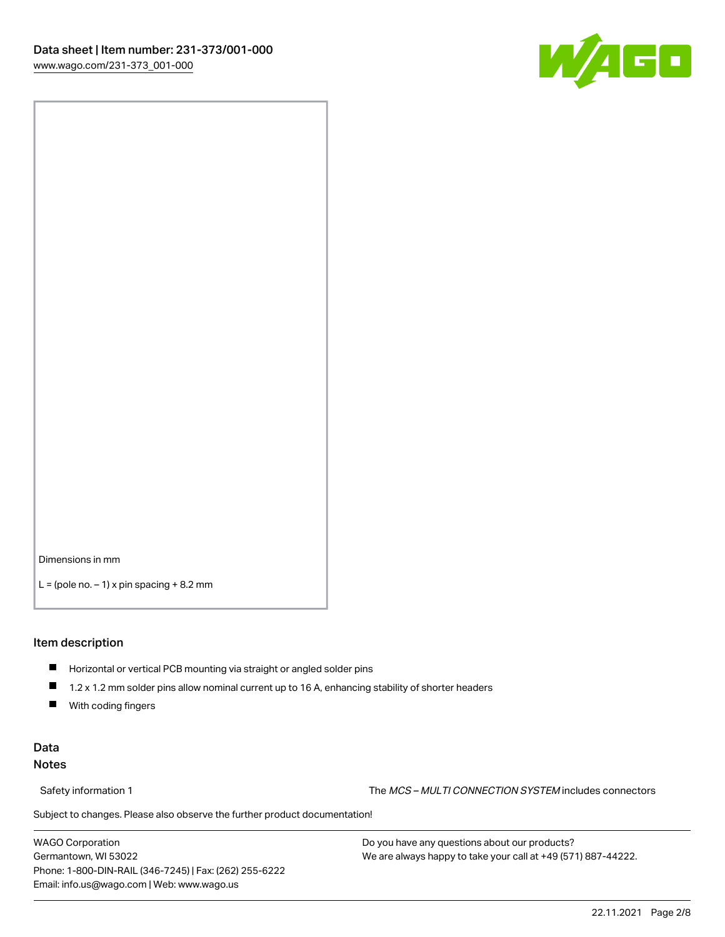

Dimensions in mm

 $L =$  (pole no.  $-1$ ) x pin spacing  $+8.2$  mm

#### Item description

- **Horizontal or vertical PCB mounting via straight or angled solder pins**
- 1.2 x 1.2 mm solder pins allow nominal current up to 16 A, enhancing stability of shorter headers
- $\blacksquare$ With coding fingers

### Data Notes

Safety information 1 The MCS – MULTI CONNECTION SYSTEM includes connectors

Subject to changes. Please also observe the further product documentation!  $\nu$ 

WAGO Corporation Germantown, WI 53022 Phone: 1-800-DIN-RAIL (346-7245) | Fax: (262) 255-6222 Email: info.us@wago.com | Web: www.wago.us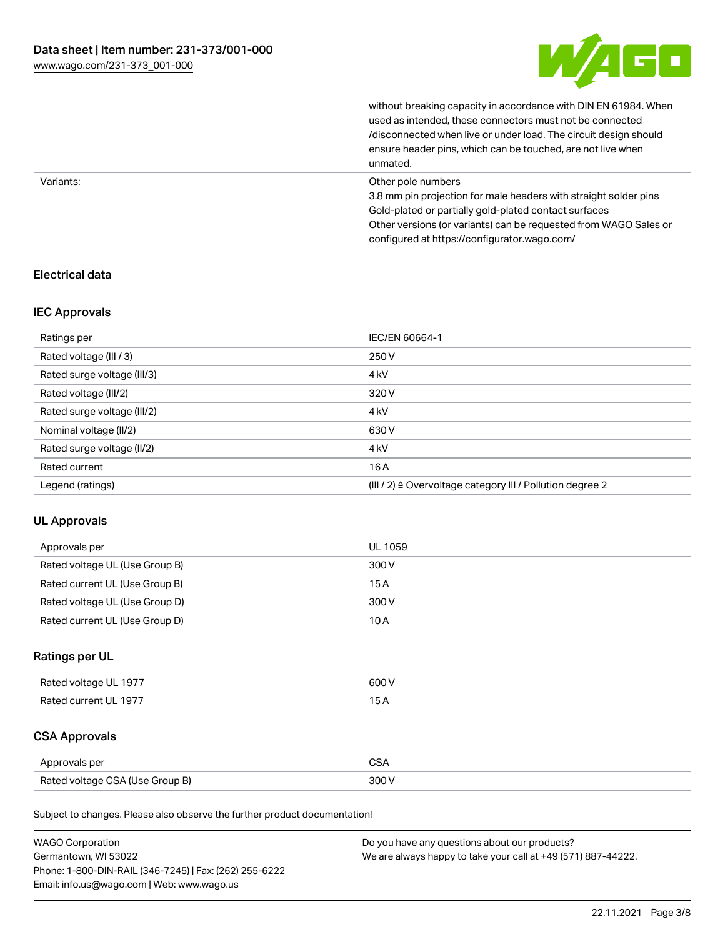

without breaking capacity in accordance with DIN EN 61984. When

|           | used as intended, these connectors must not be connected<br>/disconnected when live or under load. The circuit design should<br>ensure header pins, which can be touched, are not live when<br>unmated.                                                             |
|-----------|---------------------------------------------------------------------------------------------------------------------------------------------------------------------------------------------------------------------------------------------------------------------|
| Variants: | Other pole numbers<br>3.8 mm pin projection for male headers with straight solder pins<br>Gold-plated or partially gold-plated contact surfaces<br>Other versions (or variants) can be requested from WAGO Sales or<br>configured at https://configurator.wago.com/ |

# Electrical data

### IEC Approvals

| Ratings per                 | IEC/EN 60664-1                                                        |
|-----------------------------|-----------------------------------------------------------------------|
| Rated voltage (III / 3)     | 250 V                                                                 |
| Rated surge voltage (III/3) | 4 <sub>k</sub> V                                                      |
| Rated voltage (III/2)       | 320 V                                                                 |
| Rated surge voltage (III/2) | 4 <sub>k</sub> V                                                      |
| Nominal voltage (II/2)      | 630 V                                                                 |
| Rated surge voltage (II/2)  | 4 <sub>kV</sub>                                                       |
| Rated current               | 16A                                                                   |
| Legend (ratings)            | $(III / 2)$ $\triangle$ Overvoltage category III / Pollution degree 2 |

### UL Approvals

| Approvals per                  | UL 1059 |
|--------------------------------|---------|
| Rated voltage UL (Use Group B) | 300 V   |
| Rated current UL (Use Group B) | 15 A    |
| Rated voltage UL (Use Group D) | 300 V   |
| Rated current UL (Use Group D) | 10 A    |

# Ratings per UL

| Rated voltage UL 1977 | 600 V |
|-----------------------|-------|
| Rated current UL 1977 |       |

# CSA Approvals

| Approvals per                   | $\sim$ |
|---------------------------------|--------|
| Rated voltage CSA (Use Group B) | 300 V  |

Subject to changes. Please also observe the further product documentation!

| <b>WAGO Corporation</b>                                | Do you have any questions about our products?                 |
|--------------------------------------------------------|---------------------------------------------------------------|
| Germantown, WI 53022                                   | We are always happy to take your call at +49 (571) 887-44222. |
| Phone: 1-800-DIN-RAIL (346-7245)   Fax: (262) 255-6222 |                                                               |
| Email: info.us@wago.com   Web: www.wago.us             |                                                               |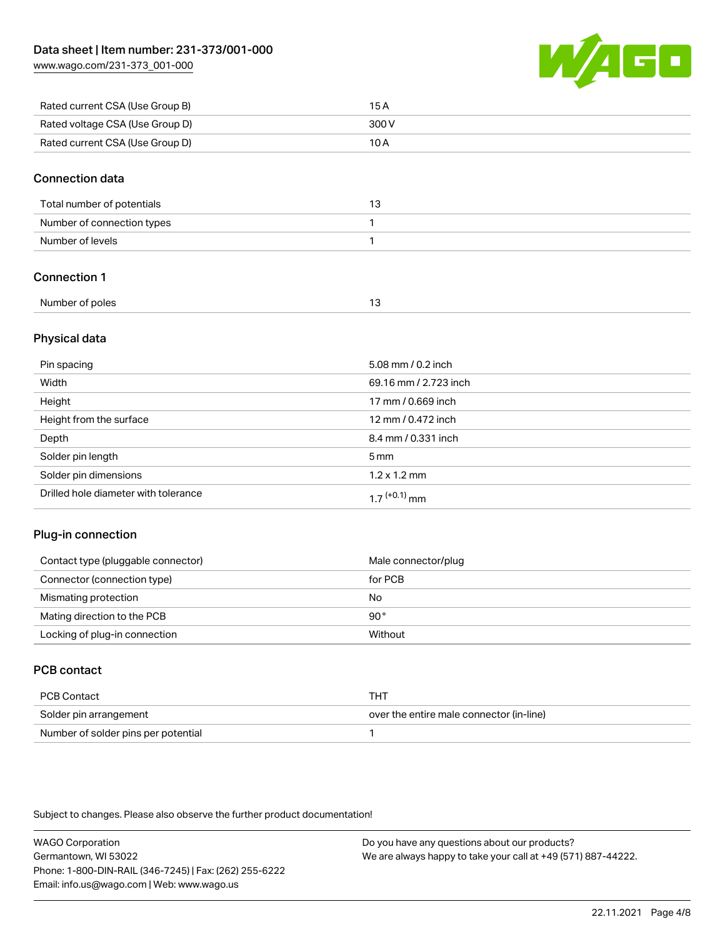[www.wago.com/231-373\\_001-000](http://www.wago.com/231-373_001-000)



| Rated current CSA (Use Group B) | 15 A  |
|---------------------------------|-------|
| Rated voltage CSA (Use Group D) | 300 V |
| Rated current CSA (Use Group D) | 10 A  |

#### Connection data

| Total number of potentials |  |
|----------------------------|--|
| Number of connection types |  |
| Number of levels           |  |

## Connection 1

| Number of poles |  |
|-----------------|--|
|                 |  |

### Physical data

| Pin spacing                          | 5.08 mm / 0.2 inch    |
|--------------------------------------|-----------------------|
| Width                                | 69.16 mm / 2.723 inch |
| Height                               | 17 mm / 0.669 inch    |
| Height from the surface              | 12 mm / 0.472 inch    |
| Depth                                | 8.4 mm / 0.331 inch   |
| Solder pin length                    | $5 \,\mathrm{mm}$     |
| Solder pin dimensions                | $1.2 \times 1.2$ mm   |
| Drilled hole diameter with tolerance | $17^{(+0.1)}$ mm      |

### Plug-in connection

| Contact type (pluggable connector) | Male connector/plug |
|------------------------------------|---------------------|
| Connector (connection type)        | for PCB             |
| Mismating protection               | No                  |
| Mating direction to the PCB        | 90°                 |
| Locking of plug-in connection      | Without             |

# PCB contact

| PCB Contact                         | тнт                                      |
|-------------------------------------|------------------------------------------|
| Solder pin arrangement              | over the entire male connector (in-line) |
| Number of solder pins per potential |                                          |

Subject to changes. Please also observe the further product documentation!

WAGO Corporation Germantown, WI 53022 Phone: 1-800-DIN-RAIL (346-7245) | Fax: (262) 255-6222 Email: info.us@wago.com | Web: www.wago.us Do you have any questions about our products? We are always happy to take your call at +49 (571) 887-44222.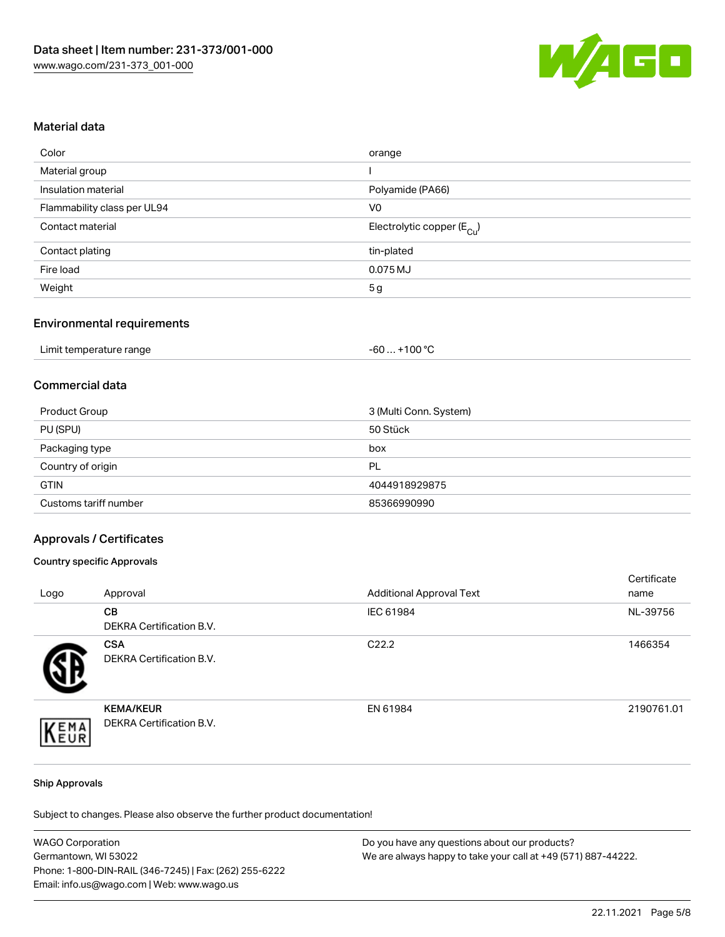

#### Material data

| Color                       | orange                                 |
|-----------------------------|----------------------------------------|
| Material group              |                                        |
| Insulation material         | Polyamide (PA66)                       |
| Flammability class per UL94 | V <sub>0</sub>                         |
| Contact material            | Electrolytic copper (E <sub>Cu</sub> ) |
| Contact plating             | tin-plated                             |
| Fire load                   | $0.075$ MJ                             |
| Weight                      | 5g                                     |

### Environmental requirements

| Limit temperature range | . +100 °C<br>-60 |
|-------------------------|------------------|
|-------------------------|------------------|

#### Commercial data

| Product Group         | 3 (Multi Conn. System) |
|-----------------------|------------------------|
| PU (SPU)              | 50 Stück               |
| Packaging type        | box                    |
| Country of origin     | PL                     |
| <b>GTIN</b>           | 4044918929875          |
| Customs tariff number | 85366990990            |

#### Approvals / Certificates

#### Country specific Approvals

| Logo | Approval                                     | <b>Additional Approval Text</b> | Certificate<br>name |
|------|----------------------------------------------|---------------------------------|---------------------|
|      | <b>CB</b><br>DEKRA Certification B.V.        | IEC 61984                       | NL-39756            |
|      | <b>CSA</b><br>DEKRA Certification B.V.       | C <sub>22.2</sub>               | 1466354             |
| EMA  | <b>KEMA/KEUR</b><br>DEKRA Certification B.V. | EN 61984                        | 2190761.01          |

#### Ship Approvals

Subject to changes. Please also observe the further product documentation!

| <b>WAGO Corporation</b>                                | Do you have any questions about our products?                 |
|--------------------------------------------------------|---------------------------------------------------------------|
| Germantown, WI 53022                                   | We are always happy to take your call at +49 (571) 887-44222. |
| Phone: 1-800-DIN-RAIL (346-7245)   Fax: (262) 255-6222 |                                                               |
| Email: info.us@wago.com   Web: www.wago.us             |                                                               |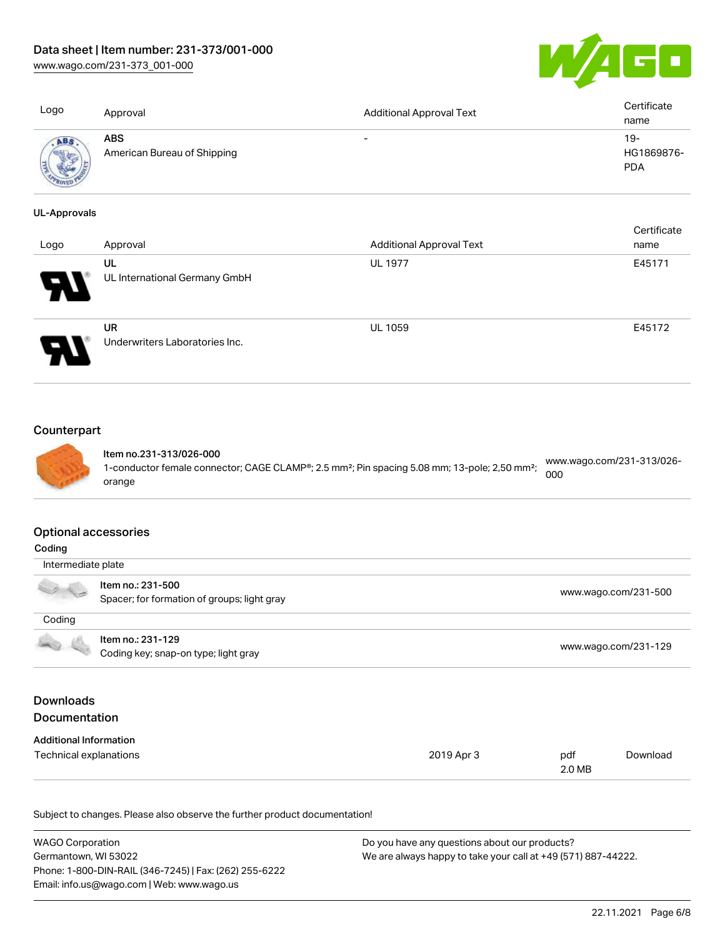# Data sheet | Item number: 231-373/001-000

[www.wago.com/231-373\\_001-000](http://www.wago.com/231-373_001-000)



| Logo                | Approval                                  | <b>Additional Approval Text</b> | Certificate<br>name               |
|---------------------|-------------------------------------------|---------------------------------|-----------------------------------|
| ABS                 | <b>ABS</b><br>American Bureau of Shipping | $\overline{\phantom{0}}$        | $19-$<br>HG1869876-<br><b>PDA</b> |
| <b>UL-Approvals</b> |                                           |                                 |                                   |

| Logo | Approval                                    | <b>Additional Approval Text</b> | Certificate<br>name |
|------|---------------------------------------------|---------------------------------|---------------------|
| R    | UL<br>UL International Germany GmbH         | <b>UL 1977</b>                  | E45171              |
|      | <b>UR</b><br>Underwriters Laboratories Inc. | UL 1059                         | E45172              |

# **Counterpart**



Item no.231-313/026-000 1-conductor female connector; CAGE CLAMP®; 2.5 mm²; Pin spacing 5.08 mm; 13-pole; 2,50 mm²; orange [www.wago.com/231-313/026-](https://www.wago.com/231-313/026-000) [000](https://www.wago.com/231-313/026-000)

#### Optional accessories

| Coding                                   |                                                                  |            |                      |                      |  |
|------------------------------------------|------------------------------------------------------------------|------------|----------------------|----------------------|--|
|                                          | Intermediate plate                                               |            |                      |                      |  |
|                                          | Item no.: 231-500<br>Spacer; for formation of groups; light gray |            |                      | www.wago.com/231-500 |  |
| Coding                                   |                                                                  |            |                      |                      |  |
|                                          | Item no.: 231-129<br>Coding key; snap-on type; light gray        |            | www.wago.com/231-129 |                      |  |
| <b>Downloads</b><br><b>Documentation</b> |                                                                  |            |                      |                      |  |
| <b>Additional Information</b>            |                                                                  |            |                      |                      |  |
| Technical explanations                   |                                                                  | 2019 Apr 3 | pdf<br>2.0 MB        | Download             |  |

Subject to changes. Please also observe the further product documentation!

| <b>WAGO Corporation</b>                                | Do you have any questions about our products?                 |
|--------------------------------------------------------|---------------------------------------------------------------|
| Germantown, WI 53022                                   | We are always happy to take your call at +49 (571) 887-44222. |
| Phone: 1-800-DIN-RAIL (346-7245)   Fax: (262) 255-6222 |                                                               |
| Email: info.us@wago.com   Web: www.wago.us             |                                                               |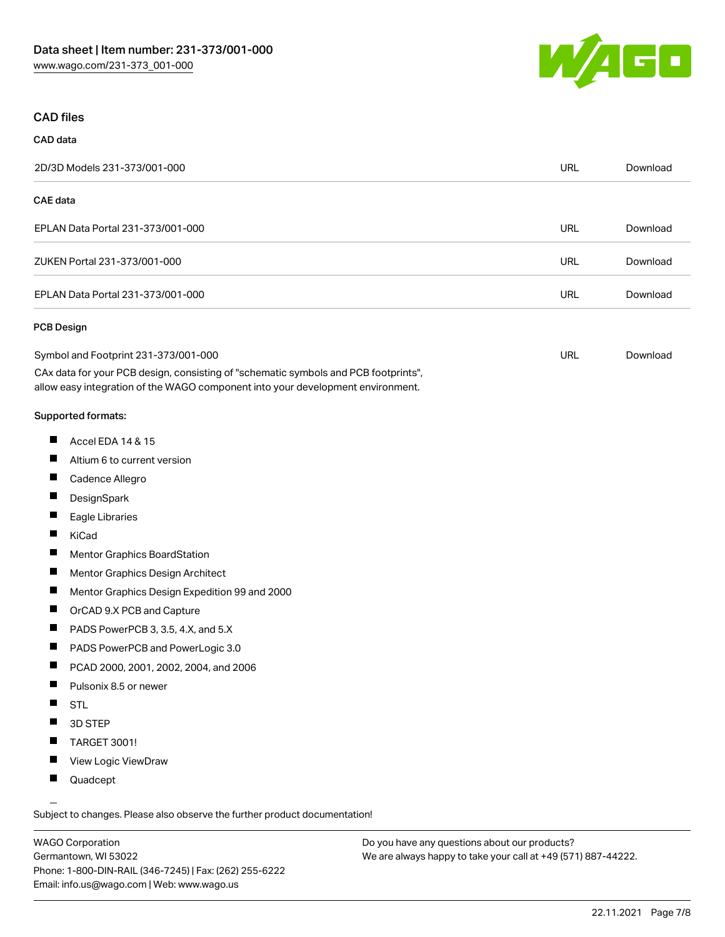

#### CAD files

# CAD data 2D/3D Models 231-373/001-000 URL [Download](https://www.wago.com/global/d/3D_URLS_231-373_001-000) CAE data EPLAN Data Portal 231-373/001-000 URL [Download](https://www.wago.com/global/d/EPLAN_URLS_231-373%252F001-000) ZUKEN Portal 231-373/001-000 URL [Download](https://www.wago.com/global/d/Zuken_URLS_231-373_001-000) EPLAN Data Portal 231-373/001-000 URL [Download](https://www.wago.com/global/d/EPLAN_URLS_231-373_001-000) PCB Design

| Symbol and Footprint 231-373/001-000                                                | URL | Download |
|-------------------------------------------------------------------------------------|-----|----------|
| CAx data for your PCB design, consisting of "schematic symbols and PCB footprints", |     |          |

allow easy integration of the WAGO component into your development environment.

#### Supported formats:

- $\blacksquare$ Accel EDA 14 & 15
- П Altium 6 to current version
- П Cadence Allegro
- П **DesignSpark**
- П Eagle Libraries
- $\blacksquare$ KiCad
- П Mentor Graphics BoardStation
- $\blacksquare$ Mentor Graphics Design Architect
- $\blacksquare$ Mentor Graphics Design Expedition 99 and 2000
- П OrCAD 9.X PCB and Capture
- $\blacksquare$ PADS PowerPCB 3, 3.5, 4.X, and 5.X
- $\blacksquare$ PADS PowerPCB and PowerLogic 3.0
- $\blacksquare$ PCAD 2000, 2001, 2002, 2004, and 2006
- $\blacksquare$ Pulsonix 8.5 or newer
- $\blacksquare$ STL
- $\blacksquare$ 3D STEP
- $\blacksquare$ TARGET 3001!
- $\blacksquare$ View Logic ViewDraw
- $\blacksquare$ Quadcept

.<br>Subject to changes. Please also observe the further product documentation!

WAGO Corporation Germantown, WI 53022 Phone: 1-800-DIN-RAIL (346-7245) | Fax: (262) 255-6222 Email: info.us@wago.com | Web: www.wago.us